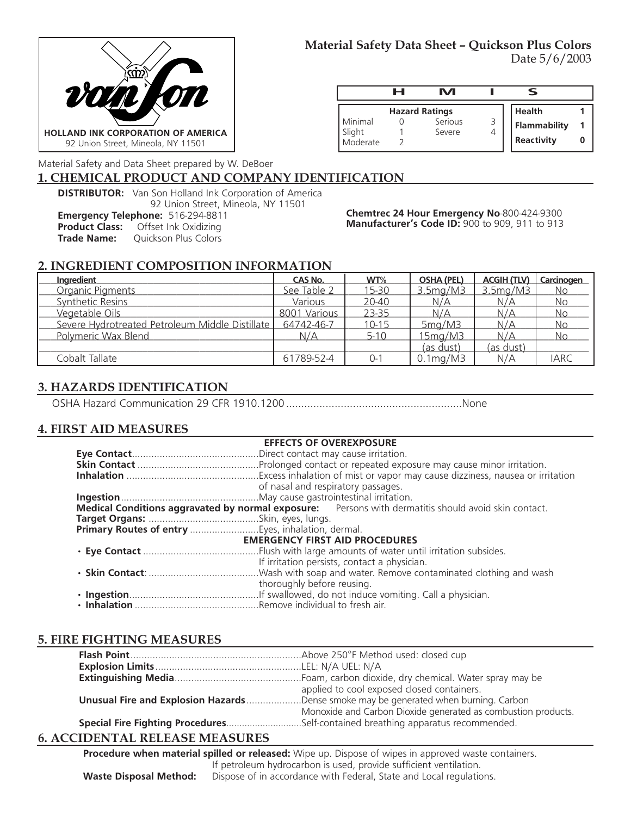

## **Material Safety Data Sheet – Quickson Plus Colors** Date 5/6/2003

|                    | н | rл                    |                     |  |
|--------------------|---|-----------------------|---------------------|--|
|                    |   | <b>Hazard Ratings</b> | <b>Health</b>       |  |
| Minimal            |   | Serious<br>Severe     | <b>Flammability</b> |  |
| Slight<br>Moderate |   |                       | Reactivity          |  |

Material Safety and Data Sheet prepared by W. DeBoer

### **1. CHEMICAL PRODUCT AND COMPANY IDENTIFICATION**

**DISTRIBUTOR:** Van Son Holland Ink Corporation of America

92 Union Street, Mineola, NY 11501

**Emergency Telephone:** 516-294-8811

**Product Class:** Offset Ink Oxidizing<br> **Trade Name:** Quickson Plus Colors

**Quickson Plus Colors** 

**Chemtrec 24 Hour Emergency No**-800-424-9300 **Manufacturer's Code ID:** 900 to 909, 911 to 913

# **2. INGREDIENT COMPOSITION INFORMATION**

| Ingredient                                      | CAS No.      | WT%       | <b>OSHA (PEL)</b>          | <b>ACGIH (TLV)</b>    | Carcinogen  |
|-------------------------------------------------|--------------|-----------|----------------------------|-----------------------|-------------|
| Organic Pigments                                | See Table 2  | 15-30     | 3.5 <sub>mq</sub> /M3      | 3.5 <sub>mq</sub> /M3 | No          |
| Synthetic Resins                                | Various      | 20-40     | N/A                        | N/A                   | No          |
| Vegetable Oils                                  | 8001 Various | 23-35     | N/A                        | N/A                   | No          |
| Severe Hydrotreated Petroleum Middle Distillate | 64742-46-7   | $10 - 15$ | 5mg/M3                     | N/A                   | No          |
| Polymeric Wax Blend                             | N/A          | $5-10$    | 15mg/M3                    | N/A                   | <b>No</b>   |
|                                                 |              |           | <u>(as dust)</u>           | (as dust)             |             |
| Cobalt Tallate                                  | 61789-52-4   | $0 - 1$   | $0.1 \text{mg}/\text{M}$ 3 | N/A                   | <b>IARC</b> |

# **3. HAZARDS IDENTIFICATION**

OSHA Hazard Communication 29 CFR 1910.1200 ..........................................................None

### **4. FIRST AID MEASURES**

|                                       | <b>EFFECTS OF OVEREXPOSURE</b>                                                                       |  |  |
|---------------------------------------|------------------------------------------------------------------------------------------------------|--|--|
|                                       |                                                                                                      |  |  |
|                                       |                                                                                                      |  |  |
|                                       |                                                                                                      |  |  |
|                                       | of nasal and respiratory passages.                                                                   |  |  |
|                                       |                                                                                                      |  |  |
|                                       | Medical Conditions aggravated by normal exposure: Persons with dermatitis should avoid skin contact. |  |  |
|                                       |                                                                                                      |  |  |
|                                       |                                                                                                      |  |  |
| <b>EMERGENCY FIRST AID PROCEDURES</b> |                                                                                                      |  |  |
|                                       |                                                                                                      |  |  |
|                                       | If irritation persists, contact a physician.                                                         |  |  |
|                                       |                                                                                                      |  |  |
|                                       | thoroughly before reusing.                                                                           |  |  |
|                                       |                                                                                                      |  |  |
|                                       |                                                                                                      |  |  |

# **5. FIRE FIGHTING MEASURES**

| applied to cool exposed closed containers.                                          |
|-------------------------------------------------------------------------------------|
| Unusual Fire and Explosion HazardsDense smoke may be generated when burning. Carbon |
| Monoxide and Carbon Dioxide generated as combustion products.                       |
| Special Fire Fighting ProceduresSelf-contained breathing apparatus recommended.     |

### **6. ACCIDENTAL RELEASE MEASURES**

**Procedure when material spilled or released:** Wipe up. Dispose of wipes in approved waste containers. If petroleum hydrocarbon is used, provide sufficient ventilation. **Waste Disposal Method:** Dispose of in accordance with Federal, State and Local regulations.